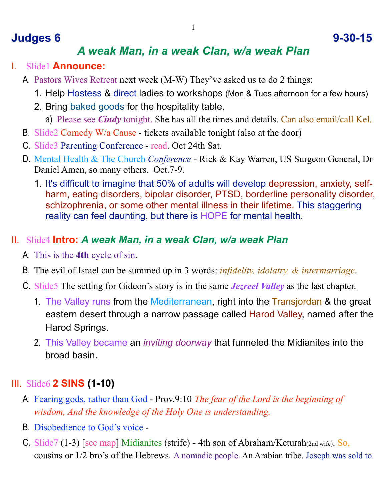## **Judges 6 9-30-15**

## *A weak Man, in a weak Clan, w/a weak Plan*

- I. Slide1 **Announce:**
	- A. Pastors Wives Retreat next week (M-W) They've asked us to do 2 things:
		- 1. Help Hostess & direct ladies to workshops (Mon & Tues afternoon for a few hours)
		- 2. Bring baked goods for the hospitality table.
			- a) Please see *Cindy* tonight. She has all the times and details. Can also email/call Kel.
	- B. Slide2 Comedy W/a Cause tickets available tonight (also at the door)
	- C. Slide3 Parenting Conference read. Oct 24th Sat.
	- D. Mental Health & The Church *Conference* Rick & Kay Warren, US Surgeon General, Dr Daniel Amen, so many others. Oct.7-9.
		- 1. It's difficult to imagine that 50% of adults will develop depression, anxiety, selfharm, eating disorders, bipolar disorder, PTSD, borderline personality disorder, schizophrenia, or some other mental illness in their lifetime. This staggering reality can feel daunting, but there is HOPE for mental health.

#### II. Slide4 **Intro:** *A weak Man, in a weak Clan, w/a weak Plan*

- A. This is the **4th** cycle of sin.
- B. The evil of Israel can be summed up in 3 words: *infidelity, idolatry, & intermarriage*.
- C. Slide5 The setting for Gideon's story is in the same *Jezreel Valley* as the last chapter.
	- 1. The Valley runs from the Mediterranean, right into the Transjordan & the great eastern desert through a narrow passage called Harod Valley, named after the Harod Springs.
	- 2. This Valley became an *inviting doorway* that funneled the Midianites into the broad basin.

### III. Slide6 **2 SINS (1-10)**

- A. Fearing gods, rather than God Prov.9:10 *The fear of the Lord is the beginning of wisdom, And the knowledge of the Holy One is understanding.*
- B. Disobedience to God's voice -
- C. Slide7 (1-3) [see map] Midianites (strife) 4th son of Abraham/Keturah(2nd wife). So, cousins or 1/2 bro's of the Hebrews. A nomadic people. An Arabian tribe. Joseph was sold to.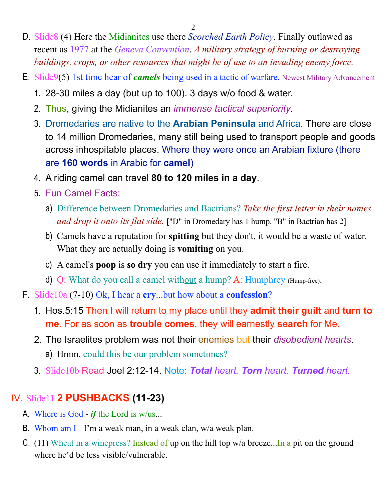- D. Slide8 (4) Here the Midianites use there *Scorched Earth Policy*. Finally outlawed as recent as 1977 at the *Geneva Convention*. *A military strategy of burning or destroying buildings, crops, or other resources that might be of use to an invading enemy force.*
- E. Slide9(5) 1st time hear of *camels* being used in a tactic of warfare. Newest Military Advancement
	- 1. 28-30 miles a day (but up to 100). 3 days w/o food & water.
	- 2. Thus, giving the Midianites an *immense tactical superiority*.
	- 3. Dromedaries are native to the **Arabian Peninsula** and Africa. There are close to 14 million Dromedaries, many still being used to transport people and goods across inhospitable places. Where they were once an Arabian fixture (there are **160 words** in Arabic for **camel**)
	- 4. A riding camel can travel **80 to 120 miles in a day**.
	- 5. Fun Camel Facts:
		- a) Difference between Dromedaries and Bactrians? *Take the first letter in their names and drop it onto its flat side.* ["D" in Dromedary has 1 hump. "B" in Bactrian has 2]
		- b) Camels have a reputation for **spitting** but they don't, it would be a waste of water. What they are actually doing is **vomiting** on you.
		- c) A camel's **poop** is **so dry** you can use it immediately to start a fire.
		- d) Q: What do you call a camel without a hump? A: Humphrey (Hump-free).
- F. Slide10a (7-10) Ok, I hear a **cry**...but how about a **confession**?
	- 1. Hos.5:15 Then I will return to my place until they **admit their guilt** and **turn to me**. For as soon as **trouble comes**, they will earnestly **search** for Me.
	- 2. The Israelites problem was not their enemies but their *disobedient hearts*.
		- a) Hmm, could this be our problem sometimes?
	- 3. Slide10b Read Joel 2:12-14. Note: *Total heart. Torn heart. Turned heart.*

## IV. Slide11 **2 PUSHBACKS (11-23)**

- A. Where is God *if* the Lord is w/us...
- B. Whom am I I'm a weak man, in a weak clan, w/a weak plan.
- C. (11) Wheat in a winepress? Instead of up on the hill top w/a breeze...In a pit on the ground where he'd be less visible/vulnerable.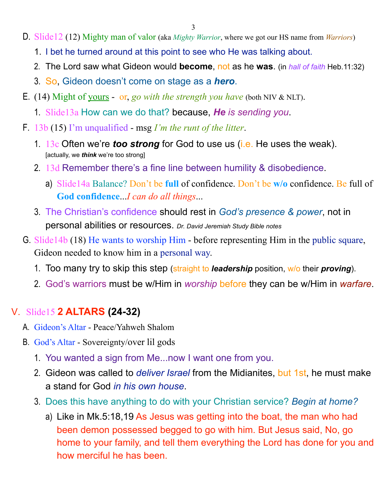- D. Slide12 (12) Mighty man of valor (aka *Mighty Warrior*, where we got our HS name from *Warriors*)
	- 1. I bet he turned around at this point to see who He was talking about.
	- 2. The Lord saw what Gideon would **become**, not as he **was**. (in *hall of faith* Heb.11:32)
	- 3. So, Gideon doesn't come on stage as a *hero*.
- E. (14) Might of yours or, *go with the strength you have* (both NIV & NLT).
	- 1. Slide13a How can we do that? because, *He is sending you*.
- F. 13b (15) I'm unqualified msg *I'm the runt of the litter*.
	- 1. 13c Often we're *too strong* for God to use us (i.e. He uses the weak). [actually, we *think* we're too strong]
	- 2. 13d Remember there's a fine line between humility & disobedience.
		- a) Slide14a Balance? Don't be **full** of confidence. Don't be **w/o** confidence. Be full of **God confidence**...*I can do all things*...
	- 3. The Christian's confidence should rest in *God's presence & power*, not in personal abilities or resources. *Dr. David Jeremiah Study Bible notes*
- G. Slide14b (18) He wants to worship Him before representing Him in the public square, Gideon needed to know him in a personal way.
	- 1. Too many try to skip this step (straight to *leadership* position, w/o their *proving*).
	- 2. God's warriors must be w/Him in *worship* before they can be w/Him in *warfare*.

### V. Slide15 **2 ALTARS (24-32)**

- A. Gideon's Altar Peace/Yahweh Shalom
- B. God's Altar Sovereignty/over lil gods
	- 1. You wanted a sign from Me...now I want one from you.
	- 2. Gideon was called to *deliver Israel* from the Midianites, but 1st, he must make a stand for God *in his own house*.
	- 3. Does this have anything to do with your Christian service? *Begin at home?*
		- a) Like in Mk.5:18,19 As Jesus was getting into the boat, the man who had been demon possessed begged to go with him. But Jesus said, No, go home to your family, and tell them everything the Lord has done for you and how merciful he has been.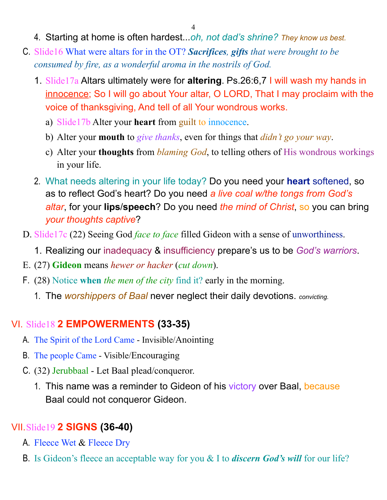4

- 4. Starting at home is often hardest...*oh, not dad's shrine? They know us best.*
- C. Slide16 What were altars for in the OT? *Sacrifices, gifts that were brought to be consumed by fire, as a wonderful aroma in the nostrils of God.*
	- 1. Slide17a Altars ultimately were for **altering**. Ps.26:6,7 I will wash my hands in innocence; So I will go about Your altar, O LORD, That I may proclaim with the voice of thanksgiving, And tell of all Your wondrous works.
		- a) Slide17b Alter your **heart** from guilt to innocence.
		- b) Alter your **mouth** to *give thanks*, even for things that *didn't go your way*.
		- c) Alter your **thoughts** from *blaming God*, to telling others of His wondrous workings in your life.
	- 2. What needs altering in your life today? Do you need your **heart** softened, so as to reflect God's heart? Do you need *a live coal w/the tongs from God's altar*, for your **lips**/**speech**? Do you need *the mind of Christ*, so you can bring *your thoughts captive*?
- D. Slide17c (22) Seeing God *face to face* filled Gideon with a sense of unworthiness.
	- 1. Realizing our inadequacy & insufficiency prepare's us to be *God's warriors*.
- E. (27) **Gideon** means *hewer or hacker* (*cut down*).
- F. (28) Notice **when** *the men of the city* find it? early in the morning.
	- 1. The *worshippers of Baal* never neglect their daily devotions. *convicting.*

## VI. Slide18 **2 EMPOWERMENTS (33-35)**

- A. The Spirit of the Lord Came Invisible/Anointing
- B. The people Came Visible/Encouraging
- C. (32) Jerubbaal Let Baal plead/conqueror.
	- 1. This name was a reminder to Gideon of his victory over Baal, because Baal could not conqueror Gideon.

# VII.Slide19 **2 SIGNS (36-40)**

- A. Fleece Wet & Fleece Dry
- B. Is Gideon's fleece an acceptable way for you & I to *discern God's will* for our life?